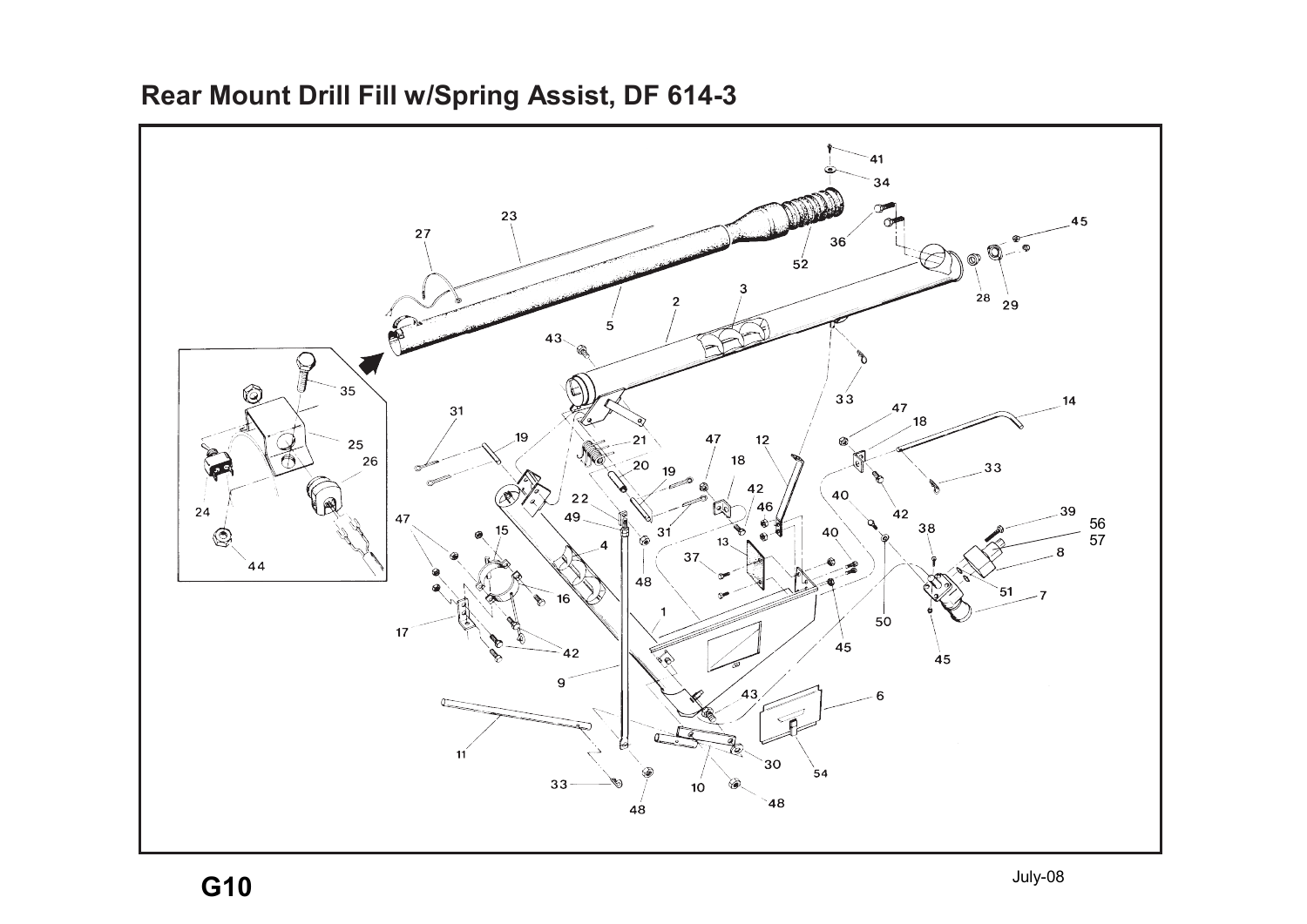